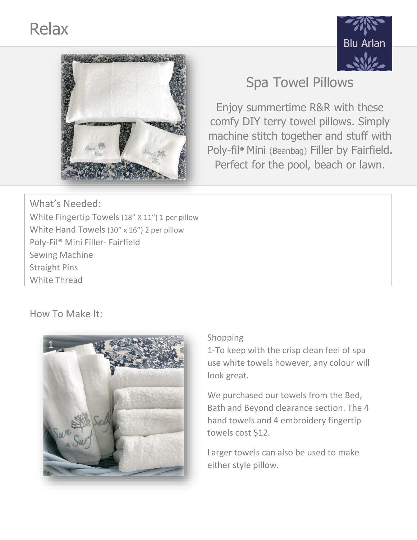# Relax





# Spa Towel Pillows

Enjoy summertime R&R with these comfy DIY terry towel pillows. Simply machine stitch together and stuff with Poly-fil® Mini (Beanbag) Filler by Fairfield. Perfect for the pool, beach or lawn.

What's Needed: White Fingertip Towels (18" X 11") 1 per pillow White Hand Towels (30" x 16") 2 per pillow Poly-Fil® Mini Filler- Fairfield Sewing Machine Straight Pins White Thread

How To Make It:



#### Shopping

1-To keep with the crisp clean feel of spa use white towels however, any colour will look great.

We purchased our towels from the Bed, Bath and Beyond clearance section. The 4 hand towels and 4 embroidery fingertip towels cost \$12.

Larger towels can also be used to make either style pillow.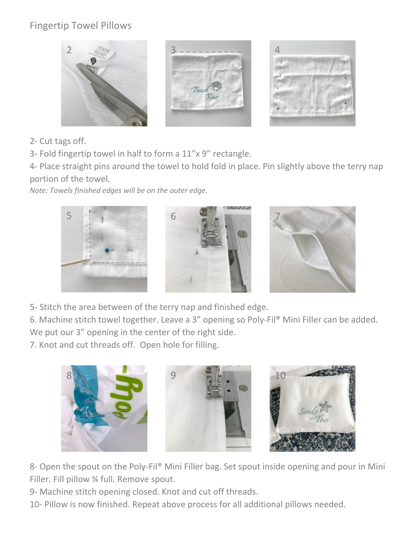### Fingertip Towel Pillows



2- Cut tags off.

3- Fold fingertip towel in half to form a 11"x 9" rectangle.

4- Place straight pins around the towel to hold fold in place. Pin slightly above the terry nap portion of the towel.

*Note: Towels finished edges will be on the outer edge.*



5- Stitch the area between of the terry nap and finished edge.

6. Machine stitch towel together. Leave a 3" opening so Poly-Fil® Mini Filler can be added.

We put our 3" opening in the center of the right side.

7. Knot and cut threads off. Open hole for filling.



8- Open the spout on the Poly-Fil® Mini Filler bag. Set spout inside opening and pour in Mini Filler. Fill pillow ¾ full. Remove spout.

9- Machine stitch opening closed. Knot and cut off threads.

10- Pillow is now finished. Repeat above process for all additional pillows needed.